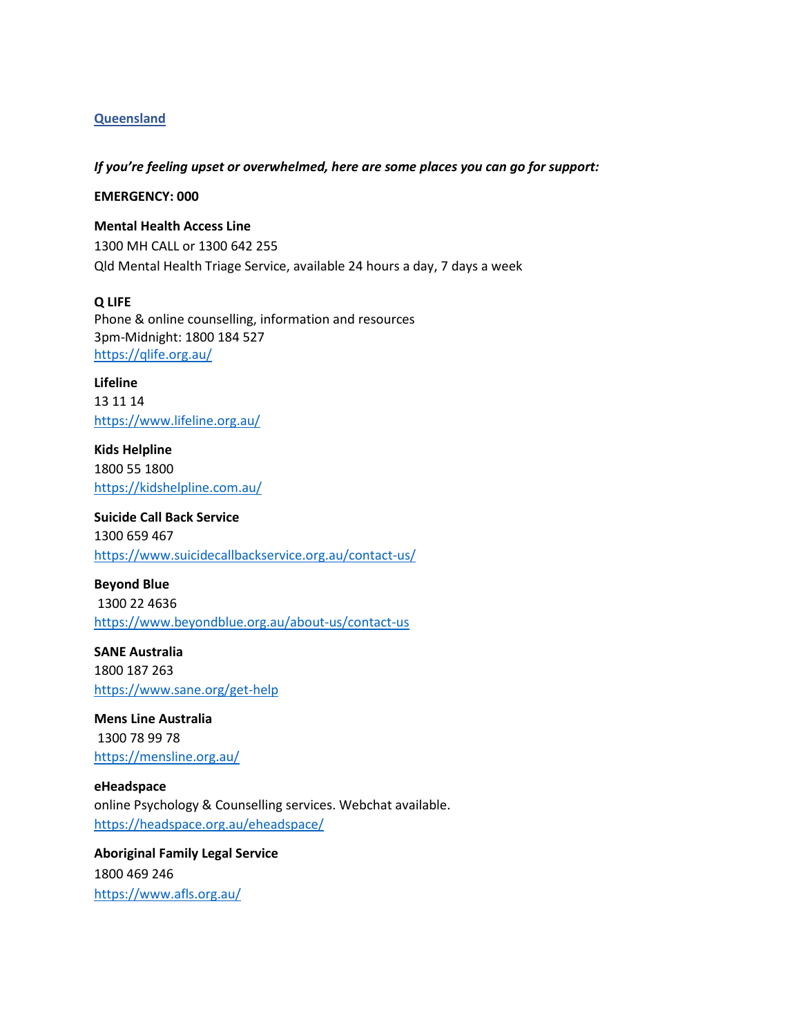# **Queensland**

### *If you're feeling upset or overwhelmed, here are some places you can go for support:*

### **EMERGENCY: 000**

#### **Mental Health Access Line**

1300 MH CALL or 1300 642 255 Qld Mental Health Triage Service, available 24 hours a day, 7 days a week

### **Q LIFE**

Phone & online counselling, information and resources 3pm-Midnight: 1800 184 527 <https://qlife.org.au/>

**Lifeline**  13 11 14 <https://www.lifeline.org.au/>

**Kids Helpline** 1800 55 1800 <https://kidshelpline.com.au/>

**Suicide Call Back Service** 1300 659 467 <https://www.suicidecallbackservice.org.au/contact-us/>

**Beyond Blue** 1300 22 4636 <https://www.beyondblue.org.au/about-us/contact-us>

**SANE Australia** 1800 187 263 <https://www.sane.org/get-help>

**Mens Line Australia** 1300 78 99 78 <https://mensline.org.au/>

**eHeadspace** online Psychology & Counselling services. Webchat available. <https://headspace.org.au/eheadspace/>

**Aboriginal Family Legal Service** 1800 469 246 <https://www.afls.org.au/>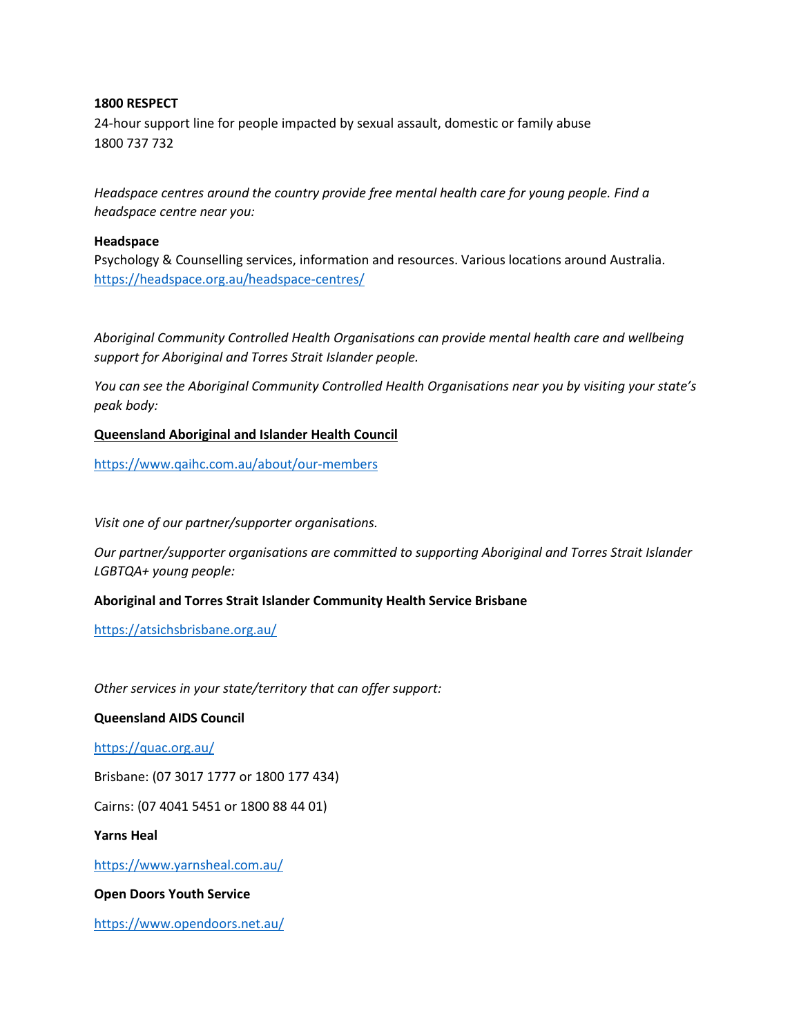# **1800 RESPECT**

24-hour support line for people impacted by sexual assault, domestic or family abuse 1800 737 732

*Headspace centres around the country provide free mental health care for young people. Find a headspace centre near you:*

### **Headspace**

Psychology & Counselling services, information and resources. Various locations around Australia. <https://headspace.org.au/headspace-centres/>

*Aboriginal Community Controlled Health Organisations can provide mental health care and wellbeing support for Aboriginal and Torres Strait Islander people.* 

*You can see the Aboriginal Community Controlled Health Organisations near you by visiting your state's peak body:*

# **Queensland Aboriginal and Islander Health Council**

<https://www.qaihc.com.au/about/our-members>

*Visit one of our partner/supporter organisations.*

*Our partner/supporter organisations are committed to supporting Aboriginal and Torres Strait Islander LGBTQA+ young people:*

# **Aboriginal and Torres Strait Islander Community Health Service Brisbane**

<https://atsichsbrisbane.org.au/>

*Other services in your state/territory that can offer support:*

### **Queensland AIDS Council**

<https://quac.org.au/>

Brisbane: (07 3017 1777 or 1800 177 434)

Cairns: (07 4041 5451 or 1800 88 44 01)

**Yarns Heal**

<https://www.yarnsheal.com.au/>

# **Open Doors Youth Service**

<https://www.opendoors.net.au/>